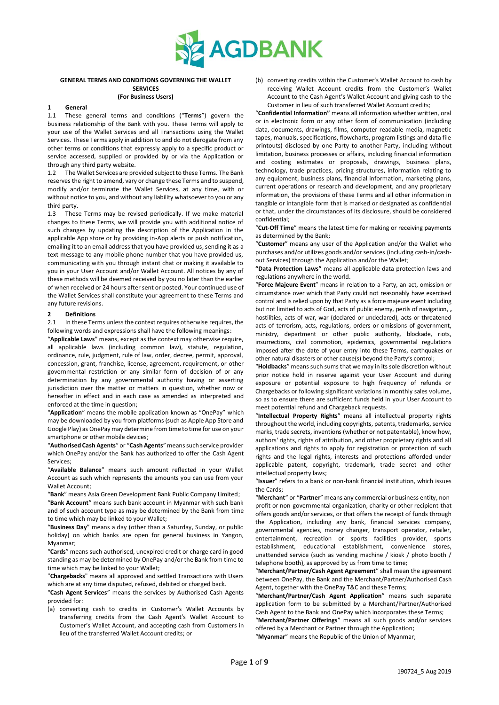

## **GENERAL TERMS AND CONDITIONS GOVERNING THE WALLET SERVICES (For Business Users)**

# **1 General**

1.1 These general terms and conditions ("**Terms**") govern the business relationship of the Bank with you. These Terms will apply to your use of the Wallet Services and all Transactions using the Wallet Services. These Terms apply in addition to and do not derogate from any other terms or conditions that expressly apply to a specific product or service accessed, supplied or provided by or via the Application or through any third party website.

1.2 The Wallet Services are provided subject to these Terms. The Bank reserves the right to amend, vary or change these Terms and to suspend, modify and/or terminate the Wallet Services, at any time, with or without notice to you, and without any liability whatsoever to you or any third party.

1.3 These Terms may be revised periodically. If we make material changes to these Terms, we will provide you with additional notice of such changes by updating the description of the Application in the applicable App store or by providing in-App alerts or push notification, emailing it to an email address that you have provided us, sending it as a text message to any mobile phone number that you have provided us, communicating with you through instant chat or making it available to you in your User Account and/or Wallet Account. All notices by any of these methods will be deemed received by you no later than the earlier of when received or 24 hours after sent or posted. Your continued use of the Wallet Services shall constitute your agreement to these Terms and any future revisions.

#### **2 Definitions**

2.1 In these Terms unless the context requires otherwise requires, the following words and expressions shall have the following meanings:

"**Applicable Laws**" means, except as the context may otherwise require, all applicable laws (including common law), statute, regulation, ordinance, rule, judgment, rule of law, order, decree, permit, approval, concession, grant, franchise, license, agreement, requirement, or other governmental restriction or any similar form of decision of or any determination by any governmental authority having or asserting jurisdiction over the matter or matters in question, whether now or hereafter in effect and in each case as amended as interpreted and enforced at the time in question;

"**Application**" means the mobile application known as "OnePay" which may be downloaded by you from platforms (such as Apple App Store and Google Play) as OnePay may determine from time to time for use on your smartphone or other mobile devices;

"**Authorised Cash Agents**" or "**Cash Agents**"means such service provider which OnePay and/or the Bank has authorized to offer the Cash Agent Services;

"**Available Balance**" means such amount reflected in your Wallet Account as such which represents the amounts you can use from your Wallet Account;

"**Bank**" means Asia Green Development Bank Public Company Limited;

"**Bank Account**" means such bank account in Myanmar with such bank and of such account type as may be determined by the Bank from time to time which may be linked to your Wallet;

"**Business Day**" means a day (other than a Saturday, Sunday, or public holiday) on which banks are open for general business in Yangon, Myanmar;

"**Cards**" means such authorised, unexpired credit or charge card in good standing as may be determined by OnePay and/or the Bank from time to time which may be linked to your Wallet;

"**Chargebacks**" means all approved and settled Transactions with Users which are at any time disputed, refused, debited or charged back.

"**Cash Agent Services**" means the services by Authorised Cash Agents provided for:

(a) converting cash to credits in Customer's Wallet Accounts by transferring credits from the Cash Agent's Wallet Account to Customer's Wallet Account, and accepting cash from Customers in lieu of the transferred Wallet Account credits; or

(b) converting credits within the Customer's Wallet Account to cash by receiving Wallet Account credits from the Customer's Wallet Account to the Cash Agent's Wallet Account and giving cash to the Customer in lieu of such transferred Wallet Account credits;

"**Confidential Information"** means all information whether written, oral or in electronic form or any other form of communication (including data, documents, drawings, films, computer readable media, magnetic tapes, manuals, specifications, flowcharts, program listings and data file printouts) disclosed by one Party to another Party, including without limitation, business processes or affairs, including financial information and costing estimates or proposals, drawings, business plans, technology, trade practices, pricing structures, information relating to any equipment, business plans, financial information, marketing plans, current operations or research and development, and any proprietary information, the provisions of these Terms and all other information in tangible or intangible form that is marked or designated as confidential or that, under the circumstances of its disclosure, should be considered confidential;

"**Cut-Off Time**" means the latest time for making or receiving payments as determined by the Bank;

"**Customer**" means any user of the Application and/or the Wallet who purchases and/or utilizes goods and/or services (including cash-in/cashout Services) through the Application and/or the Wallet;

**"Data Protection Laws"** means all applicable data protection laws and regulations anywhere in the world.

"**Force Majeure Event**" means in relation to a Party, an act, omission or circumstance over which that Party could not reasonably have exercised control and is relied upon by that Party as a force majeure event including but not limited to acts of God, acts of public enemy, perils of navigation, **,** hostilities, acts of war, war (declared or undeclared), acts or threatened acts of terrorism, acts, regulations, orders or omissions of government, ministry, department or other public authority, blockade, riots, insurrections, civil commotion, epidemics, governmental regulations imposed after the date of your entry into these Terms, earthquakes or other natural disasters or other cause(s) beyond the Party's control;

"**Holdbacks**" means such sums that we may in its sole discretion without prior notice hold in reserve against your User Account and during exposure or potential exposure to high frequency of refunds or Chargebacks or following significant variations in monthly sales volume, so as to ensure there are sufficient funds held in your User Account to meet potential refund and Chargeback requests.

"**Intellectual Property Rights**" means all intellectual property rights throughout the world, including copyrights, patents, trademarks, service marks, trade secrets, inventions (whether or not patentable), know how, authors' rights, rights of attribution, and other proprietary rights and all applications and rights to apply for registration or protection of such rights and the legal rights, interests and protections afforded under applicable patent, copyright, trademark, trade secret and other intellectual property laws;

"**Issuer**" refers to a bank or non-bank financial institution, which issues the Cards;

"**Merchant**" or "**Partner**" means any commercial or business entity, nonprofit or non-governmental organization, charity or other recipient that offers goods and/or services, or that offers the receipt of funds through the Application, including any bank, financial services company, governmental agencies, money changer, transport operator, retailer, entertainment, recreation or sports facilities provider, sports establishment, educational establishment, convenience stores, unattended service (such as vending machine / kiosk / photo booth / telephone booth), as approved by us from time to time;

"**Merchant/Partner/Cash Agent Agreement**" shall mean the agreement between OnePay, the Bank and the Merchant/Partner/Authorised Cash Agent, together with the OnePay T&C and these Terms;

"**Merchant/Partner/Cash Agent Application**" means such separate application form to be submitted by a Merchant/Partner/Authorised Cash Agent to the Bank and OnePay which incorporates these Terms;

"**Merchant/Partner Offerings**" means all such goods and/or services offered by a Merchant or Partner through the Application; "**Myanmar**" means the Republic of the Union of Myanmar;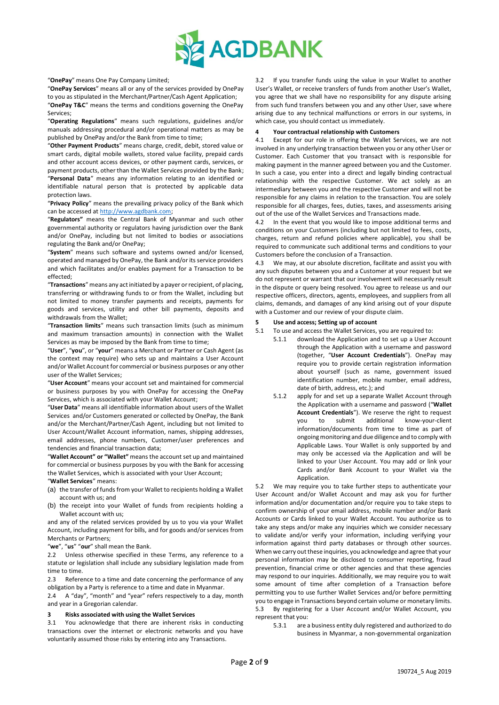

"**OnePay**" means One Pay Company Limited;

"**OnePay Services**" means all or any of the services provided by OnePay to you as stipulated in the Merchant/Partner/Cash Agent Application;

"**OnePay T&C**" means the terms and conditions governing the OnePay Services;

"**Operating Regulations**" means such regulations, guidelines and/or manuals addressing procedural and/or operational matters as may be published by OnePay and/or the Bank from time to time;

"**Other Payment Products**" means charge, credit, debit, stored value or smart cards, digital mobile wallets, stored value facility, prepaid cards and other account access devices, or other payment cards, services, or payment products, other than the Wallet Services provided by the Bank; "**Personal Data**" means any information relating to an identified or identifiable natural person that is protected by applicable data protection laws.

"**Privacy Policy**" means the prevailing privacy policy of the Bank which can be accessed a[t http://www.agdbank.com;](http://www.agdbank.com/)

"**Regulators"** means the Central Bank of Myanmar and such other governmental authority or regulators having jurisdiction over the Bank and/or OnePay, including but not limited to bodies or associations regulating the Bank and/or OnePay;

"**System**" means such software and systems owned and/or licensed, operated and managed by OnePay, the Bank and/or its service providers and which facilitates and/or enables payment for a Transaction to be effected;

"**Transactions**" means any act initiated by a payer or recipient, of placing, transferring or withdrawing funds to or from the Wallet, including but not limited to money transfer payments and receipts, payments for goods and services, utility and other bill payments, deposits and withdrawals from the Wallet;

"**Transaction limits**" means such transaction limits (such as minimum and maximum transaction amounts) in connection with the Wallet Services as may be imposed by the Bank from time to time;

"**User**", "**you**", or "**your**" means a Merchant or Partner or Cash Agent (as the context may require) who sets up and maintains a User Account and/or Wallet Account for commercial or business purposes or any other user of the Wallet Services;

"**User Account**" means your account set and maintained for commercial or business purposes by you with OnePay for accessing the OnePay Services, which is associated with your Wallet Account;

"**User Data**" means all identifiable information about users of the Wallet Services and/or Customers generated or collected by OnePay, the Bank and/or the Merchant/Partner/Cash Agent, including but not limited to User Account/Wallet Account information, names, shipping addresses, email addresses, phone numbers, Customer/user preferences and tendencies and financial transaction data;

"**Wallet Account" or "Wallet"** means the account set up and maintained for commercial or business purposes by you with the Bank for accessing the Wallet Services, which is associated with your User Account; "**Wallet Services**" means:

- (a) the transfer of funds from your Wallet to recipients holding a Wallet account with us; and
- (b) the receipt into your Wallet of funds from recipients holding a Wallet account with us;

and any of the related services provided by us to you via your Wallet Account, including payment for bills, and for goods and/or services from Merchants or Partners;

"**we**", "**us**" "**our**" shall mean the Bank.

2.2 Unless otherwise specified in these Terms, any reference to a statute or legislation shall include any subsidiary legislation made from time to time.

2.3 Reference to a time and date concerning the performance of any obligation by a Party is reference to a time and date in Myanmar.

2.4 A "day", "month" and "year" refers respectively to a day, month and year in a Gregorian calendar.

# **3 Risks associated with using the Wallet Services**

3.1 You acknowledge that there are inherent risks in conducting transactions over the internet or electronic networks and you have voluntarily assumed those risks by entering into any Transactions.

3.2 If you transfer funds using the value in your Wallet to another User's Wallet, or receive transfers of funds from another User's Wallet, you agree that we shall have no responsibility for any dispute arising from such fund transfers between you and any other User, save where arising due to any technical malfunctions or errors in our systems, in which case, you should contact us immediately.

# **4 Your contractual relationship with Customers**

4.1 Except for our role in offering the Wallet Services, we are not involved in any underlying transaction between you or any other User or Customer. Each Customer that you transact with is responsible for making payment in the manner agreed between you and the Customer. In such a case, you enter into a direct and legally binding contractual relationship with the respective Customer. We act solely as an intermediary between you and the respective Customer and will not be responsible for any claims in relation to the transaction. You are solely responsible for all charges, fees, duties, taxes, and assessments arising out of the use of the Wallet Services and Transactions made.

4.2 In the event that you would like to impose additional terms and conditions on your Customers (including but not limited to fees, costs, charges, return and refund policies where applicable), you shall be required to communicate such additional terms and conditions to your Customers before the conclusion of a Transaction.

4.3 We may, at our absolute discretion, facilitate and assist you with any such disputes between you and a Customer at your request but we do not represent or warrant that our involvement will necessarily result in the dispute or query being resolved. You agree to release us and our respective officers, directors, agents, employees, and suppliers from all claims, demands, and damages of any kind arising out of your dispute with a Customer and our review of your dispute claim.

# **5 Use and access; Setting up of account**

5.1 To use and access the Wallet Services, you are required to:

- 5.1.1 download the Application and to set up a User Account through the Application with a username and password (together, "**User Account Credentials**"). OnePay may require you to provide certain registration information about yourself (such as name, government issued identification number, mobile number, email address, date of birth, address, etc.); and
- 5.1.2 apply for and set up a separate Wallet Account through the Application with a username and password ("**Wallet Account Credentials**"). We reserve the right to request you to submit additional know-your-client information/documents from time to time as part of ongoing monitoring and due diligence and to comply with Applicable Laws. Your Wallet is only supported by and may only be accessed via the Application and will be linked to your User Account. You may add or link your Cards and/or Bank Account to your Wallet via the Application.

5.2 We may require you to take further steps to authenticate your User Account and/or Wallet Account and may ask you for further information and/or documentation and/or require you to take steps to confirm ownership of your email address, mobile number and/or Bank Accounts or Cards linked to your Wallet Account. You authorize us to take any steps and/or make any inquiries which we consider necessary to validate and/or verify your information, including verifying your information against third party databases or through other sources. When we carry out these inquiries, you acknowledge and agree that your personal information may be disclosed to consumer reporting, fraud prevention, financial crime or other agencies and that these agencies may respond to our inquiries. Additionally, we may require you to wait some amount of time after completion of a Transaction before permitting you to use further Wallet Services and/or before permitting you to engage in Transactions beyond certain volume or monetary limits. 5.3 By registering for a User Account and/or Wallet Account, you represent that you:

5.3.1 are a business entity duly registered and authorized to do business in Myanmar, a non-governmental organization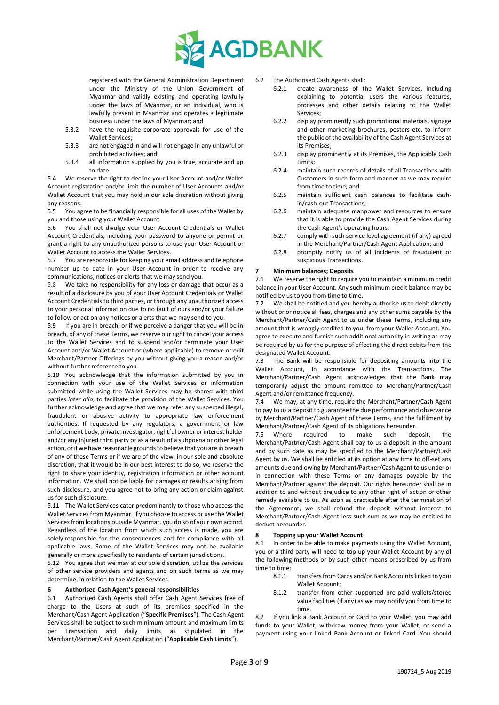

registered with the General Administration Department under the Ministry of the Union Government of Myanmar and validly existing and operating lawfully under the laws of Myanmar, or an individual, who is lawfully present in Myanmar and operates a legitimate business under the laws of Myanmar; and

- 5.3.2 have the requisite corporate approvals for use of the Wallet Services;
- 5.3.3 are not engaged in and will not engage in any unlawful or prohibited activities; and
- 5.3.4 all information supplied by you is true, accurate and up to date.

5.4 We reserve the right to decline your User Account and/or Wallet Account registration and/or limit the number of User Accounts and/or Wallet Account that you may hold in our sole discretion without giving any reasons.

5.5 You agree to be financially responsible for all uses of the Wallet by you and those using your Wallet Account.

5.6 You shall not divulge your User Account Credentials or Wallet Account Credentials, including your password to anyone or permit or grant a right to any unauthorized persons to use your User Account or Wallet Account to access the Wallet Services.

5.7 You are responsible for keeping your email address and telephone number up to date in your User Account in order to receive any communications, notices or alerts that we may send you.

5.8 We take no responsibility for any loss or damage that occur as a result of a disclosure by you of your User Account Credentials or Wallet Account Credentials to third parties, or through any unauthorized access to your personal information due to no fault of ours and/or your failure to follow or act on any notices or alerts that we may send to you.

5.9 If you are in breach, or if we perceive a danger that you will be in breach, of any of these Terms, we reserve our right to cancel your access to the Wallet Services and to suspend and/or terminate your User Account and/or Wallet Account or (where applicable) to remove or edit Merchant/Partner Offerings by you without giving you a reason and/or without further reference to you.

5.10 You acknowledge that the information submitted by you in connection with your use of the Wallet Services or information submitted while using the Wallet Services may be shared with third parties *inter alia*, to facilitate the provision of the Wallet Services. You further acknowledge and agree that we may refer any suspected illegal, fraudulent or abusive activity to appropriate law enforcement authorities. If requested by any regulators, a government or law enforcement body, private investigator, rightful owner or interest holder and/or any injured third party or as a result of a subpoena or other legal action, or if we have reasonable grounds to believe that you are in breach of any of these Terms or if we are of the view, in our sole and absolute discretion, that it would be in our best interest to do so, we reserve the right to share your identity, registration information or other account information. We shall not be liable for damages or results arising from such disclosure, and you agree not to bring any action or claim against us for such disclosure.

5.11 The Wallet Services cater predominantly to those who access the Wallet Services from Myanmar. If you choose to access or use the Wallet Services from locations outside Myanmar, you do so of your own accord. Regardless of the location from which such access is made, you are solely responsible for the consequences and for compliance with all applicable laws. Some of the Wallet Services may not be available generally or more specifically to residents of certain jurisdictions.

5.12 You agree that we may at our sole discretion, utilize the services of other service providers and agents and on such terms as we may determine, in relation to the Wallet Services.

# **6 Authorised Cash Agent's general responsibilities**

6.1 Authorised Cash Agents shall offer Cash Agent Services free of charge to the Users at such of its premises specified in the Merchant/Cash Agent Application ("**Specific Premises**"). The Cash Agent Services shall be subject to such minimum amount and maximum limits per Transaction and daily limits as stipulated in the Merchant/Partner/Cash Agent Application ("**Applicable Cash Limits**").

6.2 The Authorised Cash Agents shall:

- 6.2.1 create awareness of the Wallet Services, including explaining to potential users the various features, processes and other details relating to the Wallet Services;
- 6.2.2 display prominently such promotional materials, signage and other marketing brochures, posters etc. to inform the public of the availability of the Cash Agent Services at its Premises;
- 6.2.3 display prominently at its Premises, the Applicable Cash Limits;
- 6.2.4 maintain such records of details of all Transactions with Customers in such form and manner as we may require from time to time; and
- 6.2.5 maintain sufficient cash balances to facilitate cashin/cash-out Transactions;
- 6.2.6 maintain adequate manpower and resources to ensure that it is able to provide the Cash Agent Services during the Cash Agent's operating hours;
- 6.2.7 comply with such service level agreement (if any) agreed in the Merchant/Partner/Cash Agent Application; and
- 6.2.8 promptly notify us of all incidents of fraudulent or suspicious Transactions.

# **7 Minimum balances; Deposits**

7.1 We reserve the right to require you to maintain a minimum credit balance in your User Account. Any such minimum credit balance may be notified by us to you from time to time.

7.2 We shall be entitled and you hereby authorise us to debit directly without prior notice all fees, charges and any other sums payable by the Merchant/Partner/Cash Agent to us under these Terms, including any amount that is wrongly credited to you, from your Wallet Account. You agree to execute and furnish such additional authority in writing as may be required by us for the purpose of effecting the direct debits from the designated Wallet Account.

7.3 The Bank will be responsible for depositing amounts into the Wallet Account, in accordance with the Transactions. The Merchant/Partner/Cash Agent acknowledges that the Bank may temporarily adjust the amount remitted to Merchant/Partner/Cash Agent and/or remittance frequency.

7.4 We may, at any time, require the Merchant/Partner/Cash Agent to pay to us a deposit to guarantee the due performance and observance by Merchant/Partner/Cash Agent of these Terms, and the fulfilment by Merchant/Partner/Cash Agent of its obligations hereunder.

7.5 Where required to make such deposit, the Merchant/Partner/Cash Agent shall pay to us a deposit in the amount and by such date as may be specified to the Merchant/Partner/Cash Agent by us. We shall be entitled at its option at any time to off-set any amounts due and owing by Merchant/Partner/Cash Agent to us under or in connection with these Terms or any damages payable by the Merchant/Partner against the deposit. Our rights hereunder shall be in addition to and without prejudice to any other right of action or other remedy available to us. As soon as practicable after the termination of the Agreement, we shall refund the deposit without interest to Merchant/Partner/Cash Agent less such sum as we may be entitled to deduct hereunder.

# **8 Topping up your Wallet Account**

8.1 In order to be able to make payments using the Wallet Account, you or a third party will need to top-up your Wallet Account by any of the following methods or by such other means prescribed by us from time to time:

- 8.1.1 transfers from Cards and/or Bank Accounts linked to your Wallet Account;
- 8.1.2 transfer from other supported pre-paid wallets/stored value facilities (if any) as we may notify you from time to time.

8.2 If you link a Bank Account or Card to your Wallet, you may add funds to your Wallet, withdraw money from your Wallet, or send a payment using your linked Bank Account or linked Card. You should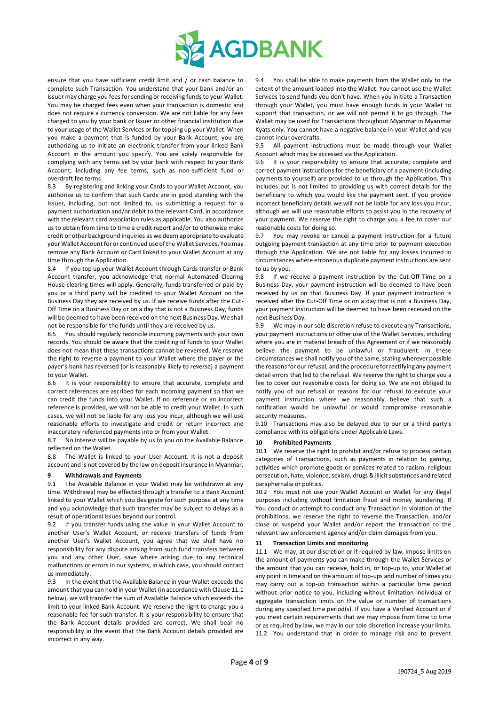

ensure that you have sufficient credit limit and / or cash balance to complete such Transaction. You understand that your bank and/or an Issuer may charge you fees for sending or receiving funds to your Wallet. You may be charged fees even when your transaction is domestic and does not require a currency conversion. We are not liable for any fees charged to you by your bank or Issuer or other financial institution due to your usage of the Wallet Services or for topping up your Wallet. When you make a payment that is funded by your Bank Account, you are authorizing us to initiate an electronic transfer from your linked Bank Account in the amount you specify. You are solely responsible for complying with any terms set by your bank with respect to your Bank Account, including any fee terms, such as non-sufficient fund or overdraft fee terms.

8.3 By registering and linking your Cards to your Wallet Account, you authorize us to confirm that such Cards are in good standing with the Issuer, including, but not limited to, us submitting a request for a payment authorization and/or debit to the relevant Card, in accordance with the relevant card association rules as applicable. You also authorize us to obtain from time to time a credit report and/or to otherwise make credit or other background inquiries as we deem appropriate to evaluate your Wallet Account for or continued use of the Wallet Services. You may remove any Bank Account or Card linked to your Wallet Account at any time through the Application.

8.4 If you top up your Wallet Account through Cards transfer or Bank Account transfer, you acknowledge that normal Automated Clearing House clearing times will apply. Generally, funds transferred or paid by you or a third party will be credited to your Wallet Account on the Business Day they are received by us. If we receive funds after the Cut-Off Time on a Business Day or on a day that is not a Business Day, funds will be deemed to have been received on the next Business Day. We shall not be responsible for the funds until they are received by us.

8.5 You should regularly reconcile incoming payments with your own records. You should be aware that the crediting of funds to your Wallet does not mean that these transactions cannot be reversed. We reserve the right to reverse a payment to your Wallet where the payer or the payer's bank has reversed (or is reasonably likely to reverse) a payment to your Wallet.

8.6 It is your responsibility to ensure that accurate, complete and correct references are ascribed for each incoming payment so that we can credit the funds into your Wallet. If no reference or an incorrect reference is provided, we will not be able to credit your Wallet. In such cases, we will not be liable for any loss you incur, although we will use reasonable efforts to investigate and credit or return incorrect and inaccurately referenced payments into or from your Wallet.

8.7 No interest will be payable by us to you on the Available Balance reflected on the Wallet.

8.8 The Wallet is linked to your User Account. It is not a deposit account and is not covered by the law on deposit insurance in Myanmar.

# **9 Withdrawals and Payments**

9.1 The Available Balance in your Wallet may be withdrawn at any time. Withdrawal may be effected through a transfer to a Bank Account linked to your Wallet which you designate for such purpose at any time and you acknowledge that such transfer may be subject to delays as a result of operational issues beyond our control.

9.2 If you transfer funds using the value in your Wallet Account to another User's Wallet Account, or receive transfers of funds from another User's Wallet Account, you agree that we shall have no responsibility for any dispute arising from such fund transfers between you and any other User, save where arising due to any technical malfunctions or errors in our systems, in which case, you should contact us immediately.

9.3 In the event that the Available Balance in your Wallet exceeds the amount that you can hold in your Wallet (in accordance with Claus[e 11.1](#page-3-0) below), we will transfer the sum of Available Balance which exceeds the limit to your linked Bank Account. We reserve the right to charge you a reasonable fee for such transfer. It is your responsibility to ensure that the Bank Account details provided are correct. We shall bear no responsibility in the event that the Bank Account details provided are incorrect in any way.

9.4 You shall be able to make payments from the Wallet only to the extent of the amount loaded into the Wallet. You cannot use the Wallet Services to send funds you don't have. When you initiate a Transaction through your Wallet, you must have enough funds in your Wallet to support that transaction, or we will not permit it to go through. The Wallet may be used for Transactions throughout Myanmar in Myanmar Kyats only. You cannot have a negative balance in your Wallet and you cannot incur overdrafts.

9.5 All payment instructions must be made through your Wallet Account which may be accessed via the Application.

9.6 It is your responsibility to ensure that accurate, complete and correct payment instructions for the beneficiary of a payment (including payments to yourself) are provided to us through the Application. This includes but is not limited to providing us with correct details for the beneficiary to which you would like the payment sent. If you provide incorrect beneficiary details we will not be liable for any loss you incur, although we will use reasonable efforts to assist you in the recovery of your payment. We reserve the right to charge you a fee to cover our reasonable costs for doing so.

9.7 You may revoke or cancel a payment instruction for a future outgoing payment transaction at any time prior to payment execution through the Application. We are not liable for any losses incurred in circumstances where erroneous duplicate payment instructions are sent to us by you.

9.8 If we receive a payment instruction by the Cut-Off Time on a Business Day, your payment instruction will be deemed to have been received by us on that Business Day. If your payment instruction is received after the Cut-Off Time or on a day that is not a Business Day, your payment instruction will be deemed to have been received on the next Business Day.

9.9 We may in our sole discretion refuse to execute any Transactions, your payment instructions or other use of the Wallet Services, including where you are in material breach of this Agreement or if we reasonably believe the payment to be unlawful or fraudulent. In these circumstances we shall notify you of the same, stating wherever possible the reasons for our refusal, and the procedure for rectifying any payment detail errors that led to the refusal. We reserve the right to charge you a fee to cover our reasonable costs for doing so. We are not obliged to notify you of our refusal or reasons for our refusal to execute your payment instruction where we reasonably believe that such a notification would be unlawful or would compromise reasonable security measures.

9.10 Transactions may also be delayed due to our or a third party's compliance with its obligations under Applicable Laws.

#### **10 Prohibited Payments**

10.1 We reserve the right to prohibit and/or refuse to process certain categories of Transactions, such as payments in relation to gaming, activities which promote goods or services related to racism, religious persecution, hate, violence, sexism, drugs & illicit substances and related paraphernalia or politics.

10.2 You must not use your Wallet Account or Wallet for any illegal purposes including without limitation fraud and money laundering. If You conduct or attempt to conduct any Transaction in violation of the prohibitions, we reserve the right to reverse the Transaction, and/or close or suspend your Wallet and/or report the transaction to the relevant law enforcement agency and/or claim damages from you.

# **11 Transaction Limits and monitoring**

<span id="page-3-0"></span>11.1 We may, at our discretion or if required by law, impose limits on the amount of payments you can make through the Wallet Services or the amount that you can receive, hold in, or top-up to, your Wallet at any point in time and on the amount of top-ups and number of times you may carry out a top-up transaction within a particular time period without prior notice to you, including without limitation individual or aggregate transaction limits on the value or number of transactions during any specified time period(s). If you have a Verified Account or if you meet certain requirements that we may impose from time to time or as required by law, we may in our sole discretion increase your limits. 11.2 You understand that in order to manage risk and to prevent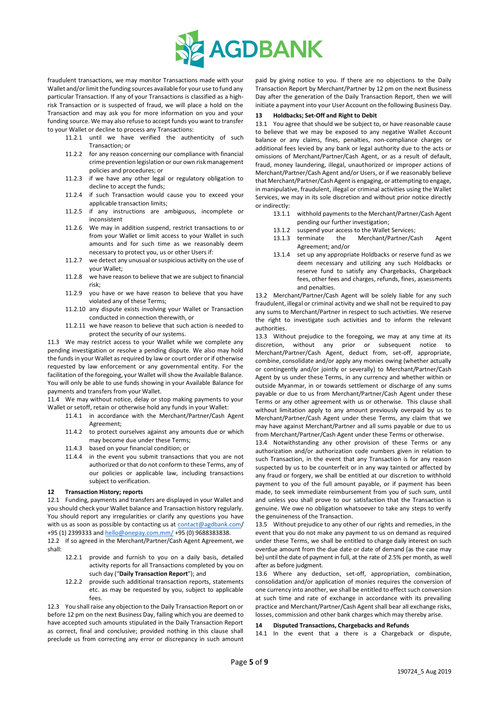

fraudulent transactions, we may monitor Transactions made with your Wallet and/or limit the funding sources available for your use to fund any particular Transaction. If any of your Transactions is classified as a highrisk Transaction or is suspected of fraud, we will place a hold on the Transaction and may ask you for more information on you and your funding source. We may also refuse to accept funds you want to transfer to your Wallet or decline to process any Transactions:

- 11.2.1 until we have verified the authenticity of such Transaction; or
- 11.2.2 for any reason concerning our compliance with financial crime prevention legislation or our own risk management policies and procedures; or
- 11.2.3 if we have any other legal or regulatory obligation to decline to accept the funds;
- 11.2.4 if such Transaction would cause you to exceed your applicable transaction limits;
- 11.2.5 if any instructions are ambiguous, incomplete or inconsistent
- 11.2.6 We may in addition suspend, restrict transactions to or from your Wallet or limit access to your Wallet in such amounts and for such time as we reasonably deem necessary to protect you, us or other Users if:
- 11.2.7 we detect any unusual or suspicious activity on the use of your Wallet;
- 11.2.8 we have reason to believe that we are subject to financial risk;
- 11.2.9 you have or we have reason to believe that you have violated any of these Terms;
- 11.2.10 any dispute exists involving your Wallet or Transaction conducted in connection therewith, or
- 11.2.11 we have reason to believe that such action is needed to protect the security of our systems.

11.3 We may restrict access to your Wallet while we complete any pending investigation or resolve a pending dispute. We also may hold the funds in your Wallet as required by law or court order or if otherwise requested by law enforcement or any governmental entity. For the facilitation of the foregoing, your Wallet will show the Available Balance. You will only be able to use funds showing in your Available Balance for payments and transfers from your Wallet.

11.4 We may without notice, delay or stop making payments to your Wallet or setoff, retain or otherwise hold any funds in your Wallet:

- 11.4.1 in accordance with the Merchant/Partner/Cash Agent Agreement;
- 11.4.2 to protect ourselves against any amounts due or which may become due under these Terms;
- 11.4.3 based on your financial condition; or
- 11.4.4 in the event you submit transactions that you are not authorized or that do not conform to these Terms, any of our policies or applicable law, including transactions subject to verification.

# **12 Transaction History; reports**

12.1 Funding, payments and transfers are displayed in your Wallet and you should check your Wallet balance and Transaction history regularly. You should report any irregularities or clarify any questions you have with us as soon as possible by contacting us at [contact@agdbank.com/](mailto:contact@agdbank.com) +95 (1) 2399333 an[d hello@onepay.com.mm/](mailto:hello@onepay.com.mm/) +95 (0) 9688383838.

12.2 If so agreed in the Merchant/Partner/Cash Agent Agreement, we shall:

- 12.2.1 provide and furnish to you on a daily basis, detailed activity reports for all Transactions completed by you on such day ("**Daily Transaction Report**"); and
- 12.2.2 provide such additional transaction reports, statements etc. as may be requested by you, subject to applicable fees.

12.3 You shall raise any objection to the Daily Transaction Report on or before 12 pm on the next Business Day, failing which you are deemed to have accepted such amounts stipulated in the Daily Transaction Report as correct, final and conclusive; provided nothing in this clause shall preclude us from correcting any error or discrepancy in such amount paid by giving notice to you. If there are no objections to the Daily Transaction Report by Merchant/Partner by 12 pm on the next Business Day after the generation of the Daily Transaction Report, then we will initiate a payment into your User Account on the following Business Day.

# **13 Holdbacks; Set-Off and Right to Debit**

13.1 You agree that should we be subject to, or have reasonable cause to believe that we may be exposed to any negative Wallet Account balance or any claims, fines, penalties, non-compliance charges or additional fees levied by any bank or legal authority due to the acts or omissions of Merchant/Partner/Cash Agent, or as a result of default, fraud, money laundering, illegal, unauthorized or improper actions of Merchant/Partner/Cash Agent and/or Users, or if we reasonably believe that Merchant/Partner/Cash Agent is engaging, or attempting to engage, in manipulative, fraudulent, illegal or criminal activities using the Wallet Services, we may in its sole discretion and without prior notice directly or indirectly:

- 13.1.1 withhold payments to the Merchant/Partner/Cash Agent pending our further investigation;
- 13.1.2 suspend your access to the Wallet Services;
- 13.1.3 terminate the Merchant/Partner/Cash Agent Agreement; and/or
- 13.1.4 set up any appropriate Holdbacks or reserve fund as we deem necessary and utilizing any such Holdbacks or reserve fund to satisfy any Chargebacks, Chargeback fees, other fees and charges, refunds, fines, assessments and penalties.

13.2 Merchant/Partner/Cash Agent will be solely liable for any such fraudulent, illegal or criminal activity and we shall not be required to pay any sums to Merchant/Partner in respect to such activities. We reserve the right to investigate such activities and to inform the relevant authorities.

13.3 Without prejudice to the foregoing, we may at any time at its discretion, without any prior or subsequent notice to Merchant/Partner/Cash Agent, deduct from, set-off, appropriate, combine, consolidate and/or apply any monies owing (whether actually or contingently and/or jointly or severally) to Merchant/Partner/Cash Agent by us under these Terms, in any currency and whether within or outside Myanmar, in or towards settlement or discharge of any sums payable or due to us from Merchant/Partner/Cash Agent under these Terms or any other agreement with us or otherwise. This clause shall without limitation apply to any amount previously overpaid by us to Merchant/Partner/Cash Agent under these Terms, any claim that we may have against Merchant/Partner and all sums payable or due to us from Merchant/Partner/Cash Agent under these Terms or otherwise.

13.4 Notwithstanding any other provision of these Terms or any authorization and/or authorization code numbers given in relation to such Transaction, in the event that any Transaction is for any reason suspected by us to be counterfeit or in any way tainted or affected by any fraud or forgery, we shall be entitled at our discretion to withhold payment to you of the full amount payable, or if payment has been made, to seek immediate reimbursement from you of such sum, until and unless you shall prove to our satisfaction that the Transaction is genuine. We owe no obligation whatsoever to take any steps to verify the genuineness of the Transaction.

13.5 Without prejudice to any other of our rights and remedies, in the event that you do not make any payment to us on demand as required under these Terms, we shall be entitled to charge daily interest on such overdue amount from the due date or date of demand (as the case may be) until the date of payment in full, at the rate of 2.5% per month, as well after as before judgment.

13.6 Where any deduction, set-off, appropriation, combination, consolidation and/or application of monies requires the conversion of one currency into another, we shall be entitled to effect such conversion at such time and rate of exchange in accordance with its prevailing practice and Merchant/Partner/Cash Agent shall bear all exchange risks, losses, commission and other bank charges which may thereby arise.

### **14 Disputed Transactions, Chargebacks and Refunds**

14.1 In the event that a there is a Chargeback or dispute,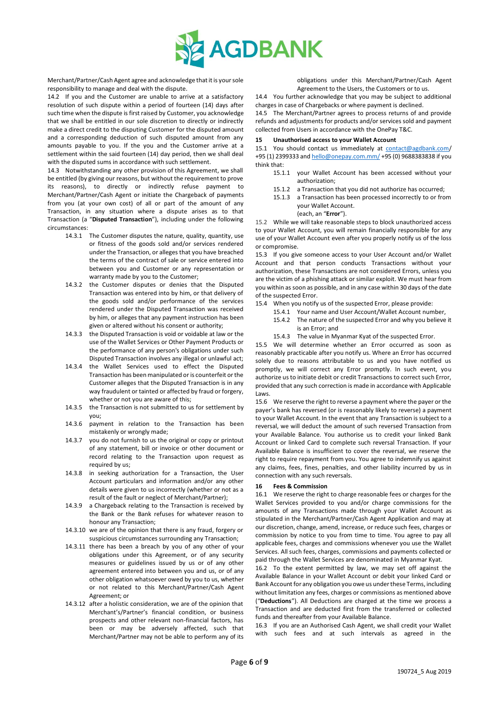

Merchant/Partner/Cash Agent agree and acknowledge that it is your sole responsibility to manage and deal with the dispute.

14.2 If you and the Customer are unable to arrive at a satisfactory resolution of such dispute within a period of fourteen (14) days after such time when the dispute is first raised by Customer, you acknowledge that we shall be entitled in our sole discretion to directly or indirectly make a direct credit to the disputing Customer for the disputed amount and a corresponding deduction of such disputed amount from any amounts payable to you. If the you and the Customer arrive at a settlement within the said fourteen (14) day period, then we shall deal with the disputed sums in accordance with such settlement.

14.3 Notwithstanding any other provision of this Agreement, we shall be entitled (by giving our reasons, but without the requirement to prove its reasons), to directly or indirectly refuse payment to Merchant/Partner/Cash Agent or initiate the Chargeback of payments from you (at your own cost) of all or part of the amount of any Transaction, in any situation where a dispute arises as to that Transaction (a "**Disputed Transaction**"), including under the following circumstances:

- 14.3.1 The Customer disputes the nature, quality, quantity, use or fitness of the goods sold and/or services rendered under the Transaction, or alleges that you have breached the terms of the contract of sale or service entered into between you and Customer or any representation or warranty made by you to the Customer;
- 14.3.2 the Customer disputes or denies that the Disputed Transaction was entered into by him, or that delivery of the goods sold and/or performance of the services rendered under the Disputed Transaction was received by him, or alleges that any payment instruction has been given or altered without his consent or authority;
- 14.3.3 the Disputed Transaction is void or voidable at law or the use of the Wallet Services or Other Payment Products or the performance of any person's obligations under such Disputed Transaction involves any illegal or unlawful act;
- 14.3.4 the Wallet Services used to effect the Disputed Transaction has been manipulated or is counterfeit or the Customer alleges that the Disputed Transaction is in any way fraudulent or tainted or affected by fraud or forgery, whether or not you are aware of this;
- 14.3.5 the Transaction is not submitted to us for settlement by you;
- 14.3.6 payment in relation to the Transaction has been mistakenly or wrongly made;
- 14.3.7 you do not furnish to us the original or copy or printout of any statement, bill or invoice or other document or record relating to the Transaction upon request as required by us;
- 14.3.8 in seeking authorization for a Transaction, the User Account particulars and information and/or any other details were given to us incorrectly (whether or not as a result of the fault or neglect of Merchant/Partner);
- 14.3.9 a Chargeback relating to the Transaction is received by the Bank or the Bank refuses for whatever reason to honour any Transaction;
- 14.3.10 we are of the opinion that there is any fraud, forgery or suspicious circumstances surrounding any Transaction;
- 14.3.11 there has been a breach by you of any other of your obligations under this Agreement, or of any security measures or guidelines issued by us or of any other agreement entered into between you and us, or of any other obligation whatsoever owed by you to us, whether or not related to this Merchant/Partner/Cash Agent Agreement; or
- 14.3.12 after a holistic consideration, we are of the opinion that Merchant's/Partner's financial condition, or business prospects and other relevant non-financial factors, has been or may be adversely affected, such that Merchant/Partner may not be able to perform any of its

obligations under this Merchant/Partner/Cash Agent Agreement to the Users, the Customers or to us.

14.4 You further acknowledge that you may be subject to additional charges in case of Chargebacks or where payment is declined.

14.5 The Merchant/Partner agrees to process returns of and provide refunds and adjustments for products and/or services sold and payment collected from Users in accordance with the OnePay T&C.

# **15 Unauthorised access to your Wallet Account**

15.1 You should contact us immediately at [contact@agdbank.com/](mailto:contact@agdbank.com) +95 (1) 2399333 an[d hello@onepay.com.mm/](mailto:hello@onepay.com.mm/) +95 (0) 9688383838 if you think that:

- 15.1.1 your Wallet Account has been accessed without your authorization;
- 15.1.2 a Transaction that you did not authorize has occurred;
- 15.1.3 a Transaction has been processed incorrectly to or from your Wallet Account.
	- (each, an "**Error**").

15.2 While we will take reasonable steps to block unauthorized access to your Wallet Account, you will remain financially responsible for any use of your Wallet Account even after you properly notify us of the loss or compromise.

15.3 If you give someone access to your User Account and/or Wallet Account and that person conducts Transactions without your authorization, these Transactions are not considered Errors, unless you are the victim of a phishing attack or similar exploit. We must hear from you within as soon as possible, and in any case within 30 days of the date of the suspected Error.

- 15.4 When you notify us of the suspected Error, please provide:
	- 15.4.1 Your name and User Account/Wallet Account number, 15.4.2 The nature of the suspected Error and why you believe it is an Error; and
	- 15.4.3 The value in Myanmar Kyat of the suspected Error.

15.5 We will determine whether an Error occurred as soon as reasonably practicable after you notify us. Where an Error has occurred solely due to reasons attributable to us and you have notified us promptly, we will correct any Error promptly. In such event, you authorize us to initiate debit or credit Transactions to correct such Error, provided that any such correction is made in accordance with Applicable Laws.

15.6 We reserve the right to reverse a payment where the payer or the payer's bank has reversed (or is reasonably likely to reverse) a payment to your Wallet Account. In the event that any Transaction is subject to a reversal, we will deduct the amount of such reversed Transaction from your Available Balance. You authorise us to credit your linked Bank Account or linked Card to complete such reversal Transaction. If your Available Balance is insufficient to cover the reversal, we reserve the right to require repayment from you. You agree to indemnify us against any claims, fees, fines, penalties, and other liability incurred by us in connection with any such reversals.

# **16 Fees & Commission**

16.1 We reserve the right to charge reasonable fees or charges for the Wallet Services provided to you and/or charge commissions for the amounts of any Transactions made through your Wallet Account as stipulated in the Merchant/Partner/Cash Agent Application and may at our discretion, change, amend, increase, or reduce such fees, charges or commission by notice to you from time to time. You agree to pay all applicable fees, charges and commissions whenever you use the Wallet Services. All such fees, charges, commissions and payments collected or paid through the Wallet Services are denominated in Myanmar Kyat.

16.2 To the extent permitted by law, we may set off against the Available Balance in your Wallet Account or debit your linked Card or Bank Account for any obligation you owe us under these Terms, including without limitation any fees, charges or commissions as mentioned above ("**Deductions**"). All Deductions are charged at the time we process a Transaction and are deducted first from the transferred or collected funds and thereafter from your Available Balance.

16.3 If you are an Authorised Cash Agent, we shall credit your Wallet with such fees and at such intervals as agreed in the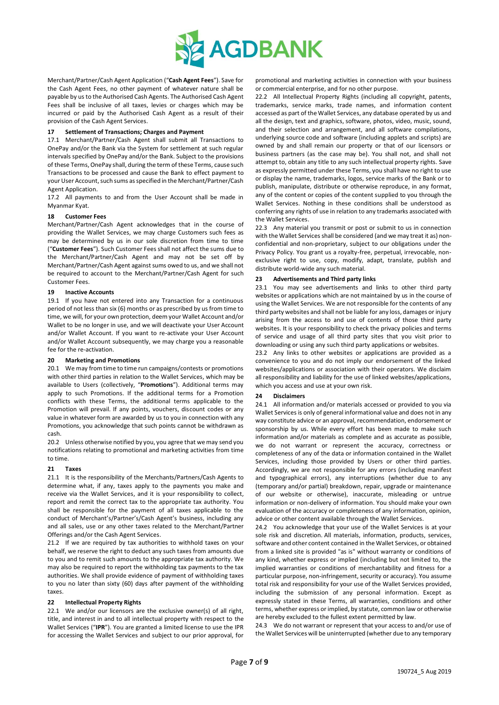

Merchant/Partner/Cash Agent Application ("**Cash Agent Fees**"). Save for the Cash Agent Fees, no other payment of whatever nature shall be payable by us to the Authorised Cash Agents. The Authorised Cash Agent Fees shall be inclusive of all taxes, levies or charges which may be incurred or paid by the Authorised Cash Agent as a result of their provision of the Cash Agent Services.

# **17 Settlement of Transactions; Charges and Payment**

17.1 Merchant/Partner/Cash Agent shall submit all Transactions to OnePay and/or the Bank via the System for settlement at such regular intervals specified by OnePay and/or the Bank. Subject to the provisions of these Terms, OnePay shall, during the term of these Terms, cause such Transactions to be processed and cause the Bank to effect payment to your User Account, such sums as specified in the Merchant/Partner/Cash Agent Application.

17.2 All payments to and from the User Account shall be made in Myanmar Kyat.

## **18 Customer Fees**

Merchant/Partner/Cash Agent acknowledges that in the course of providing the Wallet Services, we may charge Customers such fees as may be determined by us in our sole discretion from time to time ("**Customer Fees**"). Such Customer Fees shall not affect the sums due to the Merchant/Partner/Cash Agent and may not be set off by Merchant/Partner/Cash Agent against sums owed to us, and we shall not be required to account to the Merchant/Partner/Cash Agent for such Customer Fees.

## **19 Inactive Accounts**

19.1 If you have not entered into any Transaction for a continuous period of not less than six (6) months or as prescribed by us from time to time, we will, for your own protection, deem your Wallet Account and/or Wallet to be no longer in use, and we will deactivate your User Account and/or Wallet Account. If you want to re-activate your User Account and/or Wallet Account subsequently, we may charge you a reasonable fee for the re-activation.

#### **20 Marketing and Promotions**

20.1 We may from time to time run campaigns/contests or promotions with other third parties in relation to the Wallet Services, which may be available to Users (collectively, "**Promotions**"). Additional terms may apply to such Promotions. If the additional terms for a Promotion conflicts with these Terms, the additional terms applicable to the Promotion will prevail. If any points, vouchers, discount codes or any value in whatever form are awarded by us to you in connection with any Promotions, you acknowledge that such points cannot be withdrawn as cash.

20.2 Unless otherwise notified by you, you agree that we may send you notifications relating to promotional and marketing activities from time to time.

# **21 Taxes**

21.1 It is the responsibility of the Merchants/Partners/Cash Agents to determine what, if any, taxes apply to the payments you make and receive via the Wallet Services, and it is your responsibility to collect, report and remit the correct tax to the appropriate tax authority. You shall be responsible for the payment of all taxes applicable to the conduct of Merchant's/Partner's/Cash Agent's business, including any and all sales, use or any other taxes related to the Merchant/Partner Offerings and/or the Cash Agent Services.

21.2 If we are required by tax authorities to withhold taxes on your behalf, we reserve the right to deduct any such taxes from amounts due to you and to remit such amounts to the appropriate tax authority. We may also be required to report the withholding tax payments to the tax authorities. We shall provide evidence of payment of withholding taxes to you no later than sixty (60) days after payment of the withholding taxes.

# **22 Intellectual Property Rights**

22.1 We and/or our licensors are the exclusive owner(s) of all right, title, and interest in and to all intellectual property with respect to the Wallet Services ("**IPR**"). You are granted a limited license to use the IPR for accessing the Wallet Services and subject to our prior approval, for

promotional and marketing activities in connection with your business or commercial enterprise, and for no other purpose.

22.2 All Intellectual Property Rights (including all copyright, patents, trademarks, service marks, trade names, and information content accessed as part of the Wallet Services, any database operated by us and all the design, text and graphics, software, photos, video, music, sound, and their selection and arrangement, and all software compilations, underlying source code and software (including applets and scripts) are owned by and shall remain our property or that of our licensors or business partners (as the case may be). You shall not, and shall not attempt to, obtain any title to any such intellectual property rights. Save as expressly permitted under these Terms, you shall have no right to use or display the name, trademarks, logos, service marks of the Bank or to publish, manipulate, distribute or otherwise reproduce, in any format, any of the content or copies of the content supplied to you through the Wallet Services. Nothing in these conditions shall be understood as conferring any rights of use in relation to any trademarks associated with the Wallet Services.

22.3 Any material you transmit or post or submit to us in connection with the Wallet Services shall be considered (and we may treat it as) nonconfidential and non-proprietary, subject to our obligations under the Privacy Policy. You grant us a royalty-free, perpetual, irrevocable, nonexclusive right to use, copy, modify, adapt, translate, publish and distribute world-wide any such material.

## **23 Advertisements and Third party links**

23.1 You may see advertisements and links to other third party websites or applications which are not maintained by us in the course of using the Wallet Services. We are not responsible for the contents of any third party websites and shall not be liable for any loss, damages or injury arising from the access to and use of contents of those third party websites. It is your responsibility to check the privacy policies and terms of service and usage of all third party sites that you visit prior to downloading or using any such third party applications or websites.

23.2 Any links to other websites or applications are provided as a convenience to you and do not imply our endorsement of the linked websites/applications or association with their operators. We disclaim all responsibility and liability for the use of linked websites/applications, which you access and use at your own risk.

#### **24 Disclaimers**

24.1 All information and/or materials accessed or provided to you via Wallet Services is only of general informational value and does not in any way constitute advice or an approval, recommendation, endorsement or sponsorship by us. While every effort has been made to make such information and/or materials as complete and as accurate as possible, we do not warrant or represent the accuracy, correctness or completeness of any of the data or information contained in the Wallet Services, including those provided by Users or other third parties. Accordingly, we are not responsible for any errors (including manifest and typographical errors), any interruptions (whether due to any (temporary and/or partial) breakdown, repair, upgrade or maintenance of our website or otherwise), inaccurate, misleading or untrue information or non-delivery of information. You should make your own evaluation of the accuracy or completeness of any information, opinion, advice or other content available through the Wallet Services.

24.2 You acknowledge that your use of the Wallet Services is at your sole risk and discretion. All materials, information, products, services, software and other content contained in the Wallet Services, or obtained from a linked site is provided "as is" without warranty or conditions of any kind, whether express or implied (including but not limited to, the implied warranties or conditions of merchantability and fitness for a particular purpose, non-infringement, security or accuracy). You assume total risk and responsibility for your use of the Wallet Services provided, including the submission of any personal information. Except as expressly stated in these Terms, all warranties, conditions and other terms, whether express or implied, by statute, common law or otherwise are hereby excluded to the fullest extent permitted by law.

24.3 We do not warrant or represent that your access to and/or use of the Wallet Services will be uninterrupted (whether due to any temporary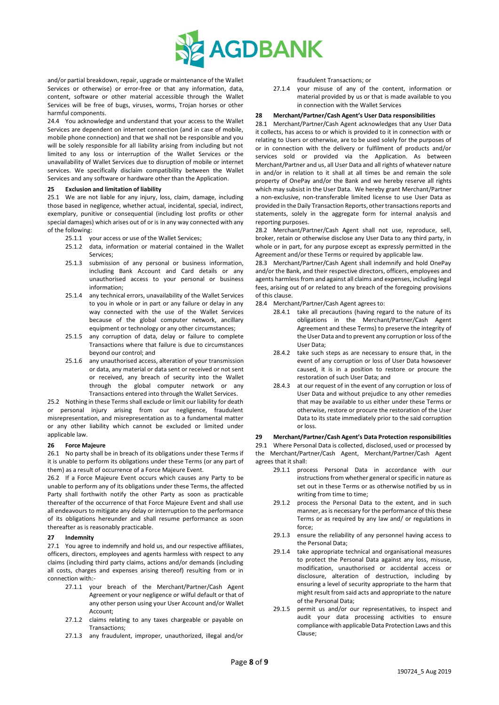

and/or partial breakdown, repair, upgrade or maintenance of the Wallet Services or otherwise) or error-free or that any information, data, content, software or other material accessible through the Wallet Services will be free of bugs, viruses, worms, Trojan horses or other harmful components.

24.4 You acknowledge and understand that your access to the Wallet Services are dependent on internet connection (and in case of mobile, mobile phone connection) and that we shall not be responsible and you will be solely responsible for all liability arising from including but not limited to any loss or interruption of the Wallet Services or the unavailability of Wallet Services due to disruption of mobile or internet services. We specifically disclaim compatibility between the Wallet Services and any software or hardware other than the Application.

## **25 Exclusion and limitation of liability**

25.1 We are not liable for any injury, loss, claim, damage, including those based in negligence, whether actual, incidental, special, indirect, exemplary, punitive or consequential (including lost profits or other special damages) which arises out of or is in any way connected with any of the following:

- 25.1.1 your access or use of the Wallet Services;
- 25.1.2 data, information or material contained in the Wallet Services;
- 25.1.3 submission of any personal or business information, including Bank Account and Card details or any unauthorised access to your personal or business information;
- 25.1.4 any technical errors, unavailability of the Wallet Services to you in whole or in part or any failure or delay in any way connected with the use of the Wallet Services because of the global computer network, ancillary equipment or technology or any other circumstances;
- 25.1.5 any corruption of data, delay or failure to complete Transactions where that failure is due to circumstances beyond our control; and
- 25.1.6 any unauthorised access, alteration of your transmission or data, any material or data sent or received or not sent or received, any breach of security into the Wallet through the global computer network or any Transactions entered into through the Wallet Services.

25.2 Nothing in these Terms shall exclude or limit our liability for death or personal injury arising from our negligence, fraudulent misrepresentation, and misrepresentation as to a fundamental matter or any other liability which cannot be excluded or limited under applicable law.

## **26 Force Majeure**

26.1 No party shall be in breach of its obligations under these Terms if it is unable to perform its obligations under these Terms (or any part of them) as a result of occurrence of a Force Majeure Event.

26.2 If a Force Majeure Event occurs which causes any Party to be unable to perform any of its obligations under these Terms, the affected Party shall forthwith notify the other Party as soon as practicable thereafter of the occurrence of that Force Majeure Event and shall use all endeavours to mitigate any delay or interruption to the performance of its obligations hereunder and shall resume performance as soon thereafter as is reasonably practicable.

## **27 Indemnity**

27.1 You agree to indemnify and hold us, and our respective affiliates, officers, directors, employees and agents harmless with respect to any claims (including third party claims, actions and/or demands (including all costs, charges and expenses arising thereof) resulting from or in connection with:-

- 27.1.1 your breach of the Merchant/Partner/Cash Agent Agreement or your negligence or wilful default or that of any other person using your User Account and/or Wallet Account;
- 27.1.2 claims relating to any taxes chargeable or payable on Transactions;
- 27.1.3 any fraudulent, improper, unauthorized, illegal and/or

fraudulent Transactions; or

27.1.4 your misuse of any of the content, information or material provided by us or that is made available to you in connection with the Wallet Services

## **28 Merchant/Partner/Cash Agent's User Data responsibilities**

28.1 Merchant/Partner/Cash Agent acknowledges that any User Data it collects, has access to or which is provided to it in connection with or relating to Users or otherwise, are to be used solely for the purposes of or in connection with the delivery or fulfilment of products and/or services sold or provided via the Application. As between Merchant/Partner and us, all User Data and all rights of whatever nature in and/or in relation to it shall at all times be and remain the sole property of OnePay and/or the Bank and we hereby reserve all rights which may subsist in the User Data. We hereby grant Merchant/Partner a non-exclusive, non-transferable limited license to use User Data as provided in the Daily Transaction Reports, other transactions reports and statements, solely in the aggregate form for internal analysis and reporting purposes.

28.2 Merchant/Partner/Cash Agent shall not use, reproduce, sell, broker, retain or otherwise disclose any User Data to any third party, in whole or in part, for any purpose except as expressly permitted in the Agreement and/or these Terms or required by applicable law.

28.3 Merchant/Partner/Cash Agent shall indemnify and hold OnePay and/or the Bank, and their respective directors, officers, employees and agents harmless from and against all claims and expenses, including legal fees, arising out of or related to any breach of the foregoing provisions of this clause.

- 28.4 Merchant/Partner/Cash Agent agrees to:
	- 28.4.1 take all precautions (having regard to the nature of its obligations in the Merchant/Partner/Cash Agent Agreement and these Terms) to preserve the integrity of the User Data and to prevent any corruption or loss of the User Data;
	- 28.4.2 take such steps as are necessary to ensure that, in the event of any corruption or loss of User Data howsoever caused, it is in a position to restore or procure the restoration of such User Data; and
	- 28.4.3 at our request of in the event of any corruption or loss of User Data and without prejudice to any other remedies that may be available to us either under these Terms or otherwise, restore or procure the restoration of the User Data to its state immediately prior to the said corruption or loss.

## **29 Merchant/Partner/Cash Agent's Data Protection responsibilities**

29.1 Where Personal Data is collected, disclosed, used or processed by the Merchant/Partner/Cash Agent, Merchant/Partner/Cash Agent agrees that it shall:

- 29.1.1 process Personal Data in accordance with our instructions from whether general or specific in nature as set out in these Terms or as otherwise notified by us in writing from time to time;
- 29.1.2 process the Personal Data to the extent, and in such manner, as is necessary for the performance of this these Terms or as required by any law and/ or regulations in force;
- 29.1.3 ensure the reliability of any personnel having access to the Personal Data;
- 29.1.4 take appropriate technical and organisational measures to protect the Personal Data against any loss, misuse, modification, unauthorised or accidental access or disclosure, alteration of destruction, including by ensuring a level of security appropriate to the harm that might result from said acts and appropriate to the nature of the Personal Data;
- 29.1.5 permit us and/or our representatives, to inspect and audit your data processing activities to ensure compliance with applicable Data Protection Laws and this Clause;